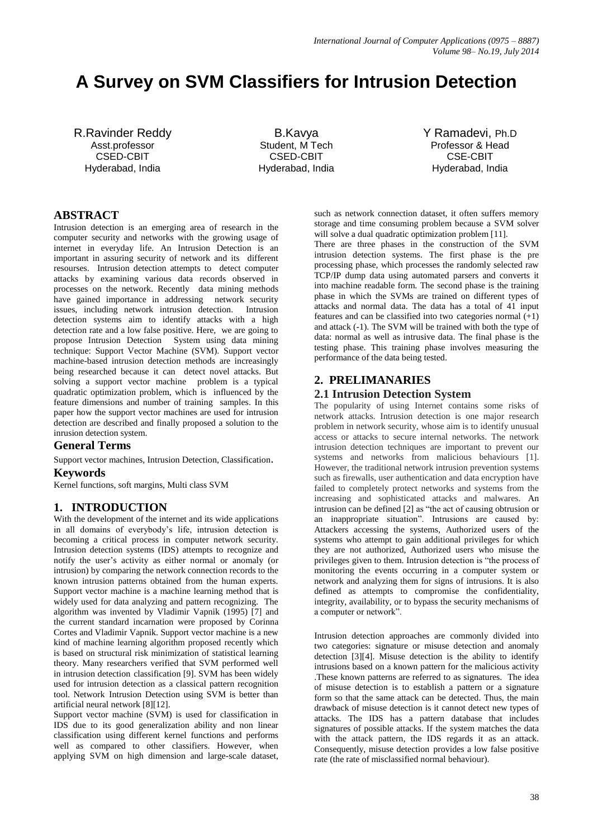# **A Survey on SVM Classifiers for Intrusion Detection**

R.Ravinder Reddy Asst.professor CSED-CBIT Hyderabad, India

B.Kavya Student, M Tech CSED-CBIT Hyderabad, India

Y Ramadevi, Ph.D Professor & Head CSE-CBIT Hyderabad, India

# **ABSTRACT**

Intrusion detection is an emerging area of research in the computer security and networks with the growing usage of internet in everyday life. An Intrusion Detection is an important in assuring security of network and its different resourses. Intrusion detection attempts to detect computer attacks by examining various data records observed in processes on the network. Recently data mining methods have gained importance in addressing network security issues, including network intrusion detection. Intrusion detection systems aim to identify attacks with a high detection rate and a low false positive. Here, we are going to propose Intrusion Detection System using data mining technique: Support Vector Machine (SVM). Support vector machine-based intrusion detection methods are increasingly being researched because it can detect novel attacks. But solving a support vector machine problem is a typical quadratic optimization problem, which is influenced by the feature dimensions and number of training samples. In this paper how the support vector machines are used for intrusion detection are described and finally proposed a solution to the inrusion detection system.

# **General Terms**

Support vector machines, Intrusion Detection, Classification.

# **Keywords**

Kernel functions, soft margins, Multi class SVM

# **1. INTRODUCTION**

With the development of the internet and its wide applications in all domains of everybody's life, intrusion detection is becoming a critical process in computer network security. Intrusion detection systems (IDS) attempts to recognize and notify the user's activity as either normal or anomaly (or intrusion) by comparing the network connection records to the known intrusion patterns obtained from the human experts. Support vector machine is a machine learning method that is widely used for data analyzing and pattern recognizing. The algorithm was invented by Vladimir Vapnik (1995) [7] and the current standard incarnation were proposed by Corinna Cortes and Vladimir Vapnik. Support vector machine is a new kind of machine learning algorithm proposed recently which is based on structural risk minimization of statistical learning theory. Many researchers verified that SVM performed well in intrusion detection classification [9]. SVM has been widely used for intrusion detection as a classical pattern recognition tool. Network Intrusion Detection using SVM is better than artificial neural network [8][12].

Support vector machine (SVM) is used for classification in IDS due to its good generalization ability and non linear classification using different kernel functions and performs well as compared to other classifiers. However, when applying SVM on high dimension and large-scale dataset,

such as network connection dataset, it often suffers memory storage and time consuming problem because a SVM solver will solve a dual quadratic optimization problem [11].

There are three phases in the construction of the SVM intrusion detection systems. The first phase is the pre processing phase, which processes the randomly selected raw TCP/IP dump data using automated parsers and converts it into machine readable form. The second phase is the training phase in which the SVMs are trained on different types of attacks and normal data. The data has a total of 41 input features and can be classified into two categories normal  $(+1)$ and attack (-1). The SVM will be trained with both the type of data: normal as well as intrusive data. The final phase is the testing phase. This training phase involves measuring the performance of the data being tested.

## **2. PRELIMANARIES**

## **2.1 Intrusion Detection System**

The popularity of using Internet contains some risks of network attacks. Intrusion detection is one major research problem in network security, whose aim is to identify unusual access or attacks to secure internal networks. The network intrusion detection techniques are important to prevent our systems and networks from malicious behaviours [1]. However, the traditional network intrusion prevention systems such as firewalls, user authentication and data encryption have failed to completely protect networks and systems from the increasing and sophisticated attacks and malwares. An intrusion can be defined [2] as "the act of causing obtrusion or an inappropriate situation". Intrusions are caused by: Attackers accessing the systems, Authorized users of the systems who attempt to gain additional privileges for which they are not authorized, Authorized users who misuse the privileges given to them. Intrusion detection is "the process of monitoring the events occurring in a computer system or network and analyzing them for signs of intrusions. It is also defined as attempts to compromise the confidentiality, integrity, availability, or to bypass the security mechanisms of a computer or network".

Intrusion detection approaches are commonly divided into two categories: signature or misuse detection and anomaly detection [3][4]. Misuse detection is the ability to identify intrusions based on a known pattern for the malicious activity .These known patterns are referred to as signatures. The idea of misuse detection is to establish a pattern or a signature form so that the same attack can be detected. Thus, the main drawback of misuse detection is it cannot detect new types of attacks. The IDS has a pattern database that includes signatures of possible attacks. If the system matches the data with the attack pattern, the IDS regards it as an attack. Consequently, misuse detection provides a low false positive rate (the rate of misclassified normal behaviour).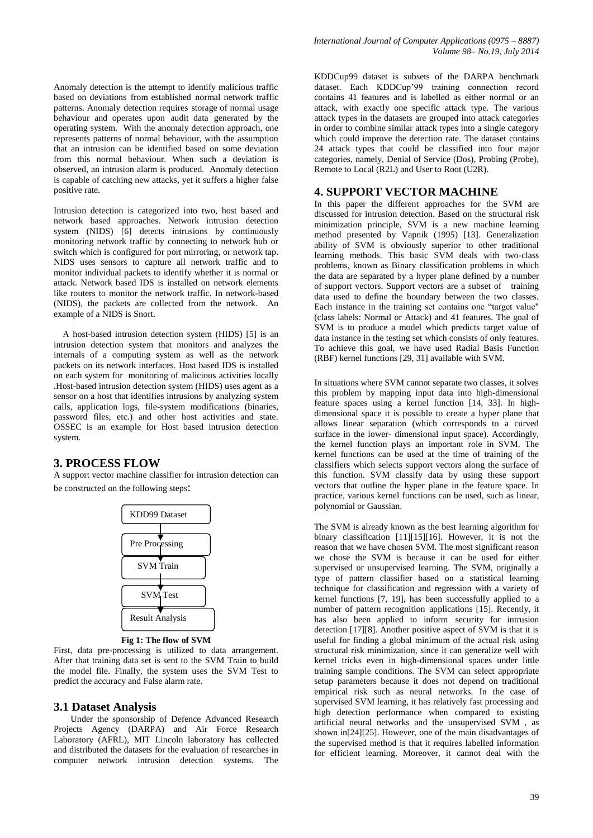Anomaly detection is the attempt to identify malicious traffic based on deviations from established normal network traffic patterns. Anomaly detection requires storage of normal usage behaviour and operates upon audit data generated by the operating system. With the anomaly detection approach, one represents patterns of normal behaviour, with the assumption that an intrusion can be identified based on some deviation from this normal behaviour. When such a deviation is observed, an intrusion alarm is produced. Anomaly detection is capable of catching new attacks, yet it suffers a higher false positive rate.

Intrusion detection is categorized into two, host based and network based approaches. Network intrusion detection system (NIDS) [6] detects intrusions by continuously monitoring network traffic by connecting to network hub or switch which is configured for port mirroring, or network tap. NIDS uses sensors to capture all network traffic and to monitor individual packets to identify whether it is normal or attack. Network based IDS is installed on network elements like routers to monitor the network traffic. In network-based (NIDS), the packets are collected from the network. An example of a NIDS is Snort.

 A host-based intrusion detection system (HIDS) [5] is an intrusion detection system that monitors and analyzes the internals of a computing system as well as the network packets on its network interfaces. Host based IDS is installed on each system for monitoring of malicious activities locally .Host-based intrusion detection system (HIDS) uses agent as a sensor on a host that identifies intrusions by analyzing system calls, application logs, file-system modifications (binaries, password files, etc.) and other host activities and state. OSSEC is an example for Host based intrusion detection system.

## **3. PROCESS FLOW**

A support vector machine classifier for intrusion detection can be constructed on the following steps:



**Fig 1: The flow of SVM**

First, data pre-processing is utilized to data arrangement. After that training data set is sent to the SVM Train to build the model file. Finally, the system uses the SVM Test to predict the accuracy and False alarm rate.

#### **3.1 Dataset Analysis**

Under the sponsorship of Defence Advanced Research Projects Agency (DARPA) and Air Force Research Laboratory (AFRL), MIT Lincoln laboratory has collected and distributed the datasets for the evaluation of researches in computer network intrusion detection systems. The

KDDCup99 dataset is subsets of the DARPA benchmark dataset. Each KDDCup'99 training connection record contains 41 features and is labelled as either normal or an attack, with exactly one specific attack type. The various attack types in the datasets are grouped into attack categories in order to combine similar attack types into a single category which could improve the detection rate. The dataset contains 24 attack types that could be classified into four major categories, namely, Denial of Service (Dos), Probing (Probe), Remote to Local (R2L) and User to Root (U2R).

#### **4. SUPPORT VECTOR MACHINE**

In this paper the different approaches for the SVM are discussed for intrusion detection. Based on the structural risk minimization principle, SVM is a new machine learning method presented by Vapnik (1995) [13]. Generalization ability of SVM is obviously superior to other traditional learning methods. This basic SVM deals with two-class problems, known as Binary classification problems in which the data are separated by a hyper plane defined by a number of support vectors. Support vectors are a subset of training data used to define the boundary between the two classes. Each instance in the training set contains one "target value" (class labels: Normal or Attack) and 41 features. The goal of SVM is to produce a model which predicts target value of data instance in the testing set which consists of only features. To achieve this goal, we have used Radial Basis Function (RBF) kernel functions [29, 31] available with SVM.

In situations where SVM cannot separate two classes, it solves this problem by mapping input data into high-dimensional feature spaces using a kernel function [14, 33]. In highdimensional space it is possible to create a hyper plane that allows linear separation (which corresponds to a curved surface in the lower- dimensional input space). Accordingly, the kernel function plays an important role in SVM. The kernel functions can be used at the time of training of the classifiers which selects support vectors along the surface of this function. SVM classify data by using these support vectors that outline the hyper plane in the feature space. In practice, various kernel functions can be used, such as linear, polynomial or Gaussian.

The SVM is already known as the best learning algorithm for binary classification [11][15][16]. However, it is not the reason that we have chosen SVM. The most significant reason we chose the SVM is because it can be used for either supervised or unsupervised learning. The SVM, originally a type of pattern classifier based on a statistical learning technique for classification and regression with a variety of kernel functions [7, 19], has been successfully applied to a number of pattern recognition applications [15]. Recently, it has also been applied to inform security for intrusion detection [17][8]. Another positive aspect of SVM is that it is useful for finding a global minimum of the actual risk using structural risk minimization, since it can generalize well with kernel tricks even in high-dimensional spaces under little training sample conditions. The SVM can select appropriate setup parameters because it does not depend on traditional empirical risk such as neural networks. In the case of supervised SVM learning, it has relatively fast processing and high detection performance when compared to existing artificial neural networks and the unsupervised SVM , as shown in[24][25]. However, one of the main disadvantages of the supervised method is that it requires labelled information for efficient learning. Moreover, it cannot deal with the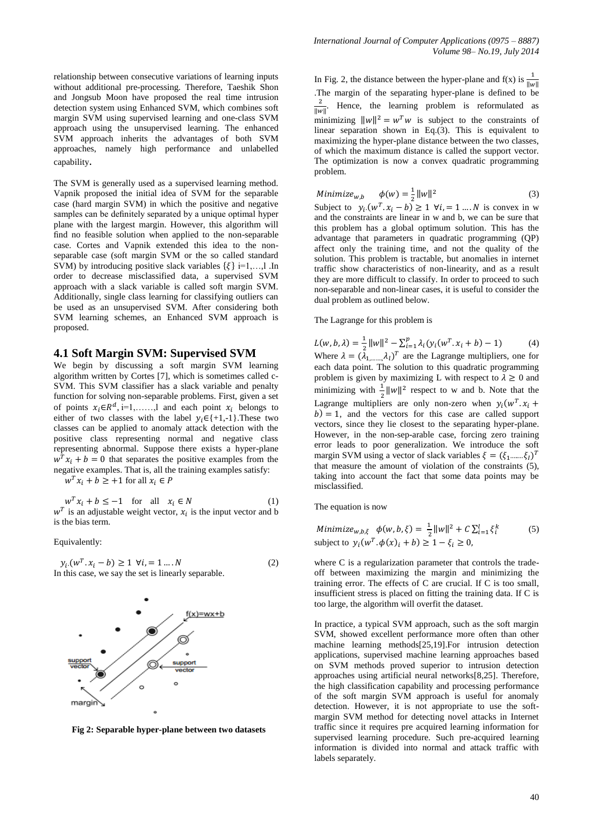relationship between consecutive variations of learning inputs without additional pre-processing. Therefore, Taeshik Shon and Jongsub Moon have proposed the real time intrusion detection system using Enhanced SVM, which combines soft margin SVM using supervised learning and one-class SVM approach using the unsupervised learning. The enhanced SVM approach inherits the advantages of both SVM approaches, namely high performance and unlabelled capability.

The SVM is generally used as a supervised learning method. Vapnik proposed the initial idea of SVM for the separable case (hard margin SVM) in which the positive and negative samples can be definitely separated by a unique optimal hyper plane with the largest margin. However, this algorithm will find no feasible solution when applied to the non-separable case. Cortes and Vapnik extended this idea to the nonseparable case (soft margin SVM or the so called standard SVM) by introducing positive slack variables  $\{\xi\}$  i=1,...,l .In order to decrease misclassified data, a supervised SVM approach with a slack variable is called soft margin SVM. Additionally, single class learning for classifying outliers can be used as an unsupervised SVM. After considering both SVM learning schemes, an Enhanced SVM approach is proposed.

#### **4.1 Soft Margin SVM: Supervised SVM**

We begin by discussing a soft margin SVM learning algorithm written by Cortes [7], which is sometimes called c-SVM. This SVM classifier has a slack variable and penalty function for solving non-separable problems. First, given a set of points  $x_i \in \mathbb{R}^d$ , i=1,....., and each point  $x_i$  belongs to either of two classes with the label  $y_i \in \{+1,-1\}$ . These two classes can be applied to anomaly attack detection with the positive class representing normal and negative class representing abnormal. Suppose there exists a hyper-plane  $w^T x_i + b = 0$  that separates the positive examples from the negative examples. That is, all the training examples satisfy:

 $w^T x_i + b \geq +1$  for all  $x_i \in P$ 

$$
w^T x_i + b \le -1 \quad \text{for all} \quad x_i \in N \tag{1}
$$

 $w<sup>T</sup>$  is an adjustable weight vector,  $x<sub>i</sub>$  is the input vector and b is the bias term.

Equivalently:

 $(w^T, x_i - b) \ge 1 \ \forall i, = 1 \dots N$  (2) In this case, we say the set is linearly separable.



**Fig 2: Separable hyper-plane between two datasets**

In Fig. 2, the distance between the hyper-plane and  $f(x)$  is  $\frac{1}{\|}$ .The margin of the separating hyper-plane is defined to be  $\frac{2}{\epsilon}$ . Hence, the learning problem is reformulated as  $\|w\|$ minimizing  $||w||^2 = w^T w$  is subject to the constraints of linear separation shown in Eq.(3). This is equivalent to maximizing the hyper-plane distance between the two classes, of which the maximum distance is called the support vector. The optimization is now a convex quadratic programming problem.

Minimize<sub>w,b</sub> 
$$
\phi(w) = \frac{1}{2} ||w||^2
$$
 (3)

Subject to  $y_i(w^T, x_i - b) \ge 1$   $\forall i = 1 ... N$  is convex in w and the constraints are linear in w and b, we can be sure that this problem has a global optimum solution. This has the advantage that parameters in quadratic programming (QP) affect only the training time, and not the quality of the solution. This problem is tractable, but anomalies in internet traffic show characteristics of non-linearity, and as a result they are more difficult to classify. In order to proceed to such non-separable and non-linear cases, it is useful to consider the dual problem as outlined below.

#### The Lagrange for this problem is

 $L(w, b, \lambda) = \frac{1}{2} ||w||^2 - \sum_{i=1}^p \lambda_i (y_i(w^T, b_i))$ Where  $\lambda = (\lambda_1, ..., \lambda_k)^T$  are the Lagrange multipliers, one for (4) each data point. The solution to this quadratic programming problem is given by maximizing L with respect to  $\lambda \geq 0$  and minimizing with  $\frac{1}{2} ||w||^2$  respect to w and b. Note that the Lagrange multipliers are only non-zero when  $y_i(w^T)$ .  $b$ ) = 1, and the vectors for this case are called support vectors, since they lie closest to the separating hyper-plane. However, in the non-sep-arable case, forcing zero training error leads to poor generalization. We introduce the soft margin SVM using a vector of slack variables  $\xi = (\xi_1, ..., \xi_l)^T$ that measure the amount of violation of the constraints (5), taking into account the fact that some data points may be misclassified.

The equation is now

Minimize<sub>w,b,\xi</sub> 
$$
\phi(w, b, \xi) = \frac{1}{2} ||w||^2 + C \sum_{i=1}^l \xi_i^k
$$
 (5)  
subject to  $y_i(w^T, \phi(x)_i + b) \ge 1 - \xi_i \ge 0$ ,

where C is a regularization parameter that controls the tradeoff between maximizing the margin and minimizing the training error. The effects of C are crucial. If C is too small, insufficient stress is placed on fitting the training data. If C is too large, the algorithm will overfit the dataset.

In practice, a typical SVM approach, such as the soft margin SVM, showed excellent performance more often than other machine learning methods[25,19].For intrusion detection applications, supervised machine learning approaches based on SVM methods proved superior to intrusion detection approaches using artificial neural networks[8,25]. Therefore, the high classification capability and processing performance of the soft margin SVM approach is useful for anomaly detection. However, it is not appropriate to use the softmargin SVM method for detecting novel attacks in Internet traffic since it requires pre acquired learning information for supervised learning procedure. Such pre-acquired learning information is divided into normal and attack traffic with labels separately.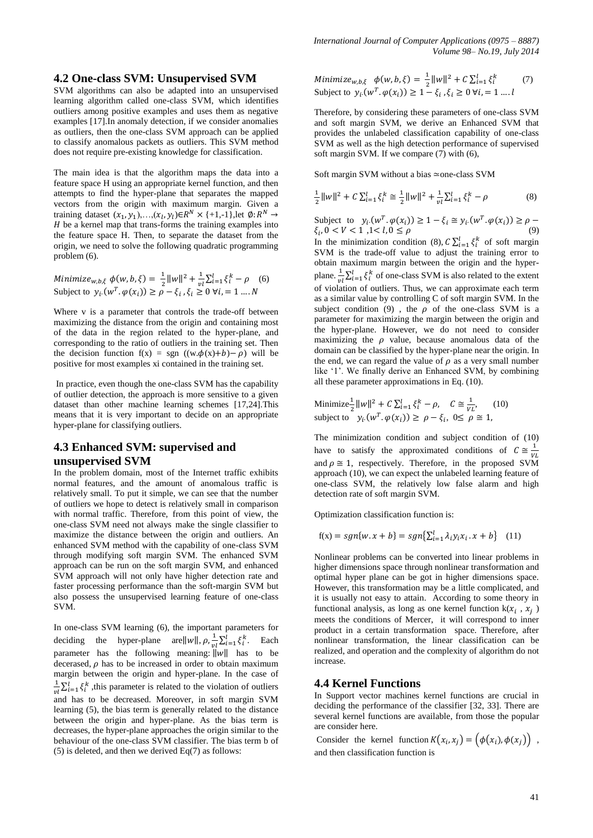## **4.2 One-class SVM: Unsupervised SVM**

SVM algorithms can also be adapted into an unsupervised learning algorithm called one-class SVM, which identifies outliers among positive examples and uses them as negative examples [17].In anomaly detection, if we consider anomalies as outliers, then the one-class SVM approach can be applied to classify anomalous packets as outliers. This SVM method does not require pre-existing knowledge for classification.

The main idea is that the algorithm maps the data into a feature space H using an appropriate kernel function, and then attempts to find the hyper-plane that separates the mapped vectors from the origin with maximum margin. Given a training dataset  $(x_1, y_1),..., (x_l, y_l) \in R^N \times \{+1,-1\}$ , let  $\emptyset$ :  $R^N$  $H$  be a kernel map that trans-forms the training examples into the feature space H. Then, to separate the dataset from the origin, we need to solve the following quadratic programming problem (6).

Minimize<sub>w,b,</sub> $\xi$   $\phi(w, b, \xi) = \frac{1}{2}$  $\frac{1}{2}||w||^2 + \frac{1}{v}$  $\frac{1}{vl}\sum_{i=1}^{l} \xi_i^k - \rho$  (6) Subject to  $y_i(w^T \cdot \varphi(x_i)) \ge \rho - \xi_i$ ,

Where v is a parameter that controls the trade-off between maximizing the distance from the origin and containing most of the data in the region related to the hyper-plane, and corresponding to the ratio of outliers in the training set. Then the decision function  $f(x) = sgn ((w \cdot \phi(x) + b) - \rho)$  will be positive for most examples xi contained in the training set.

In practice, even though the one-class SVM has the capability of outlier detection, the approach is more sensitive to a given dataset than other machine learning schemes [17,24].This means that it is very important to decide on an appropriate hyper-plane for classifying outliers.

# **4.3 Enhanced SVM: supervised and unsupervised SVM**

In the problem domain, most of the Internet traffic exhibits normal features, and the amount of anomalous traffic is relatively small. To put it simple, we can see that the number of outliers we hope to detect is relatively small in comparison with normal traffic. Therefore, from this point of view, the one-class SVM need not always make the single classifier to maximize the distance between the origin and outliers. An enhanced SVM method with the capability of one-class SVM through modifying soft margin SVM. The enhanced SVM approach can be run on the soft margin SVM, and enhanced SVM approach will not only have higher detection rate and faster processing performance than the soft-margin SVM but also possess the unsupervised learning feature of one-class SVM.

In one-class SVM learning (6), the important parameters for deciding the hyper-plane are  $||w||$ ,  $\rho$ ,  $\frac{1}{x}$  $\frac{1}{vl}\sum_{i=1}^{l} \xi_i^k$ . Each parameter has the following meaning:  $\|w\|$  has to be decerased,  $\rho$  has to be increased in order to obtain maximum margin between the origin and hyper-plane. In the case of 1  $\frac{1}{v_l} \sum_{i=1}^{l} \xi_i^k$ , this parameter is related to the violation of outliers and has to be decreased. Moreover, in soft margin SVM learning (5), the bias term is generally related to the distance between the origin and hyper-plane. As the bias term is decreases, the hyper-plane approaches the origin similar to the behaviour of the one-class SVM classifier. The bias term b of (5) is deleted, and then we derived Eq(7) as follows:

Minimize<sub>w,b,\xi</sub> 
$$
\phi(w, b, \xi) = \frac{1}{2} ||w||^2 + C \sum_{i=1}^{l} \xi_i^k
$$
 (7)  
Subject to  $y_i(w^T, \phi(x_i)) \ge 1 - \xi_i, \xi_i \ge 0 \forall i, j = 1, ... l$ 

Therefore, by considering these parameters of one-class SVM and soft margin SVM, we derive an Enhanced SVM that provides the unlabeled classification capability of one-class SVM as well as the high detection performance of supervised soft margin SVM. If we compare (7) with (6),

Soft margin SVM without a bias  $\simeq$  one-class SVM

$$
\frac{1}{2}||w||^2 + C\sum_{i=1}^l \xi_i^k \cong \frac{1}{2}||w||^2 + \frac{1}{vl}\sum_{i=1}^l \xi_i^k - \rho
$$
 (8)

Subject to  $y_i(w^T, \varphi(x_i)) \geq 1 - \xi_i \cong y_i(w^T)$ .  $\xi_i, 0 < V < 1, 1 < l, 0 \leq \rho$  (9)

In the minimization condition (8),  $C \sum_{i=1}^{l} \xi_i^k$  of soft margin SVM is the trade-off value to adjust the training error to obtain maximum margin between the origin and the hyperplane.  $\frac{1}{vl} \sum_{i=1}^{l} \xi_i^k$  of one-class SVM is also related to the extent of violation of outliers. Thus, we can approximate each term as a similar value by controlling C of soft margin SVM. In the subject condition (9), the  $\rho$  of the one-class SVM is a parameter for maximizing the margin between the origin and the hyper-plane. However, we do not need to consider maximizing the  $\rho$  value, because anomalous data of the domain can be classified by the hyper-plane near the origin. In the end, we can regard the value of  $\rho$  as a very small number like '1'. We finally derive an Enhanced SVM, by combining all these parameter approximations in Eq. (10).

Minimize<sup>1</sup>/<sub>2</sub> 
$$
||w||^2 + C \sum_{i=1}^l \xi_i^k - \rho
$$
,  $C \cong \frac{1}{\gamma_L}$ , (10)  
subject to  $y_i(w^T, \varphi(x_i)) \ge \rho - \xi_i$ ,  $0 \le \rho \cong 1$ ,

The minimization condition and subject condition of (10) have to satisfy the approximated conditions of  $C \cong \frac{1}{x}$ V and  $\rho \cong 1$ , respectively. Therefore, in the proposed SVM approach (10), we can expect the unlabeled learning feature of one-class SVM, the relatively low false alarm and high detection rate of soft margin SVM.

Optimization classification function is:

$$
f(x) = sgn{w \cdot x + b} = sgn{\sum_{i=1}^{l} \lambda_i y_i x_i \cdot x + b}
$$
 (11)

Nonlinear problems can be converted into linear problems in higher dimensions space through nonlinear transformation and optimal hyper plane can be got in higher dimensions space. However, this transformation may be a little complicated, and it is usually not easy to attain. According to some theory in functional analysis, as long as one kernel function  $k(x_i, x_j)$ meets the conditions of Mercer, it will correspond to inner product in a certain transformation space. Therefore, after nonlinear transformation, the linear classification can be realized, and operation and the complexity of algorithm do not increase.

#### **4.4 Kernel Functions**

In Support vector machines kernel functions are crucial in deciding the performance of the classifier [32, 33]. There are several kernel functions are available, from those the popular are consider here.

Consider the kernel function  $K(x_i, x_i) = (\phi(x_i), \phi(x_i))$ , and then classification function is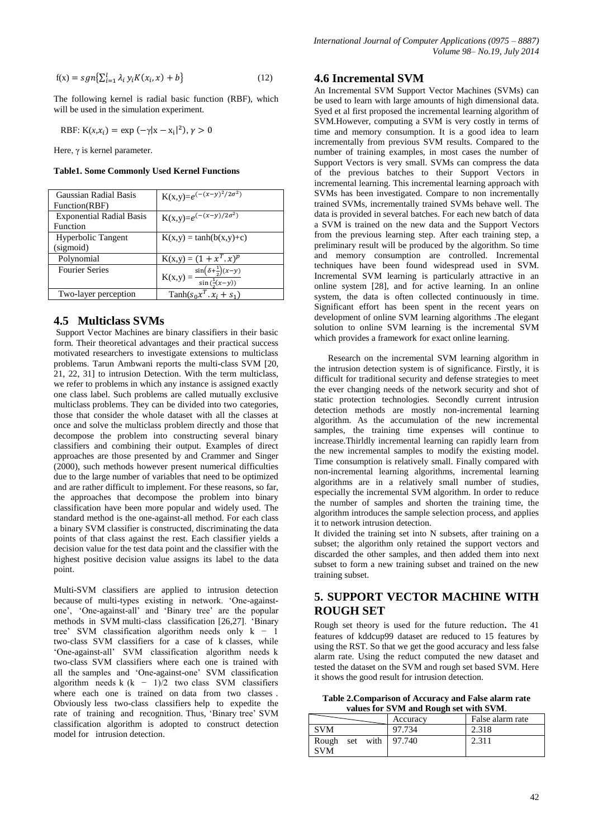$$
f(x) = sgn\left\{\sum_{i=1}^{l} \lambda_i y_i K(x_i, x) + b\right\}
$$
\n(12)

The following kernel is radial basic function (RBF), which will be used in the simulation experiment.

RBF: 
$$
K(x, x_i) = \exp(-\gamma |x - x_i|^2), \gamma > 0
$$

Here,  $\gamma$  is kernel parameter.

**Table1. Some Commonly Used Kernel Functions**

| Gaussian Radial Basis           | $K(x,y)=e^{-\frac{(x-y)^2}{2\sigma^2}}$                                       |
|---------------------------------|-------------------------------------------------------------------------------|
| Function(RBF)                   |                                                                               |
| <b>Exponential Radial Basis</b> | $K(x,y)=e^{(-(x-y)/2\sigma^2)}$                                               |
| Function                        |                                                                               |
| Hyperbolic Tangent              | $K(x,y) = \tanh(b(x,y)+c)$                                                    |
| (sigmoid)                       |                                                                               |
| Polynomial                      | $K(x,y) = (1 + x^T, x)^p$                                                     |
| <b>Fourier Series</b>           |                                                                               |
|                                 | $=\frac{\sin(\delta+\frac{1}{2})(x-y)}{\sin(\frac{1}{2}(x-y))}$<br>$K(x,y) =$ |
| Two-layer perception            | Tanh $(s_0x^T, x_i + s_1)$                                                    |

### **4.5 Multiclass SVMs**

Support Vector Machines are binary classifiers in their basic form. Their theoretical advantages and their practical success motivated researchers to investigate extensions to multiclass problems. Tarun Ambwani reports the multi-class SVM [20, 21, 22, 31] to intrusion Detection. With the term multiclass, we refer to problems in which any instance is assigned exactly one class label. Such problems are called mutually exclusive multiclass problems. They can be divided into two categories, those that consider the whole dataset with all the classes at once and solve the multiclass problem directly and those that decompose the problem into constructing several binary classifiers and combining their output. Examples of direct approaches are those presented by and Crammer and Singer (2000), such methods however present numerical difficulties due to the large number of variables that need to be optimized and are rather difficult to implement. For these reasons, so far, the approaches that decompose the problem into binary classification have been more popular and widely used. The standard method is the one-against-all method. For each class a binary SVM classifier is constructed, discriminating the data points of that class against the rest. Each classifier yields a decision value for the test data point and the classifier with the highest positive decision value assigns its label to the data point.

Multi-SVM classifiers are applied to intrusion detection because of multi-types existing in network. 'One-againstone', 'One-against-all' and 'Binary tree' are the popular methods in SVM multi-class classification [26,27]. 'Binary tree' SVM classification algorithm needs only  $k - 1$ two-class SVM classifiers for a case of k classes, while 'One-against-all' SVM classification algorithm needs k two-class SVM classifiers where each one is trained with all the samples and 'One-against-one' SVM classification algorithm needs k  $(k - 1)/2$  two class SVM classifiers where each one is trained on data from two classes. Obviously less two-class classifiers help to expedite the rate of training and recognition. Thus, 'Binary tree' SVM classification algorithm is adopted to construct detection model for intrusion detection.

## **4.6 Incremental SVM**

An Incremental SVM Support Vector Machines (SVMs) can be used to learn with large amounts of high dimensional data. Syed et al first proposed the incremental learning algorithm of SVM.However, computing a SVM is very costly in terms of time and memory consumption. It is a good idea to learn incrementally from previous SVM results. Compared to the number of training examples, in most cases the number of Support Vectors is very small. SVMs can compress the data of the previous batches to their Support Vectors in incremental learning. This incremental learning approach with SVMs has been investigated. Compare to non incrementally trained SVMs, incrementally trained SVMs behave well. The data is provided in several batches. For each new batch of data a SVM is trained on the new data and the Support Vectors from the previous learning step. After each training step, a preliminary result will be produced by the algorithm. So time and memory consumption are controlled. Incremental techniques have been found widespread used in SVM. Incremental SVM learning is particularly attractive in an online system [28], and for active learning. In an online system, the data is often collected continuously in time. Significant effort has been spent in the recent years on development of online SVM learning algorithms .The elegant solution to online SVM learning is the incremental SVM which provides a framework for exact online learning.

 Research on the incremental SVM learning algorithm in the intrusion detection system is of significance. Firstly, it is difficult for traditional security and defense strategies to meet the ever changing needs of the network security and shot of static protection technologies. Secondly current intrusion detection methods are mostly non-incremental learning algorithm. As the accumulation of the new incremental samples, the training time expenses will continue to increase.Thirldly incremental learning can rapidly learn from the new incremental samples to modify the existing model. Time consumption is relatively small. Finally compared with non-incremental learning algorithms, incremental learning algorithms are in a relatively small number of studies, especially the incremental SVM algorithm. In order to reduce the number of samples and shorten the training time, the algorithm introduces the sample selection process, and applies it to network intrusion detection.

It divided the training set into N subsets, after training on a subset; the algorithm only retained the support vectors and discarded the other samples, and then added them into next subset to form a new training subset and trained on the new training subset.

# **5. SUPPORT VECTOR MACHINE WITH ROUGH SET**

Rough set theory is used for the future reduction. The 41 features of kddcup99 dataset are reduced to 15 features by using the RST. So that we get the good accuracy and less false alarm rate. Using the reduct computed the new dataset and tested the dataset on the SVM and rough set based SVM. Here it shows the good result for intrusion detection.

**Table 2.Comparison of Accuracy and False alarm rate values for SVM and Rough set with SVM**.

|                                       | Accuracy | False alarm rate |
|---------------------------------------|----------|------------------|
| <b>SVM</b>                            | 97.734   | 2.318            |
| Rough set with $97.740$<br><b>SVM</b> |          | 2.311            |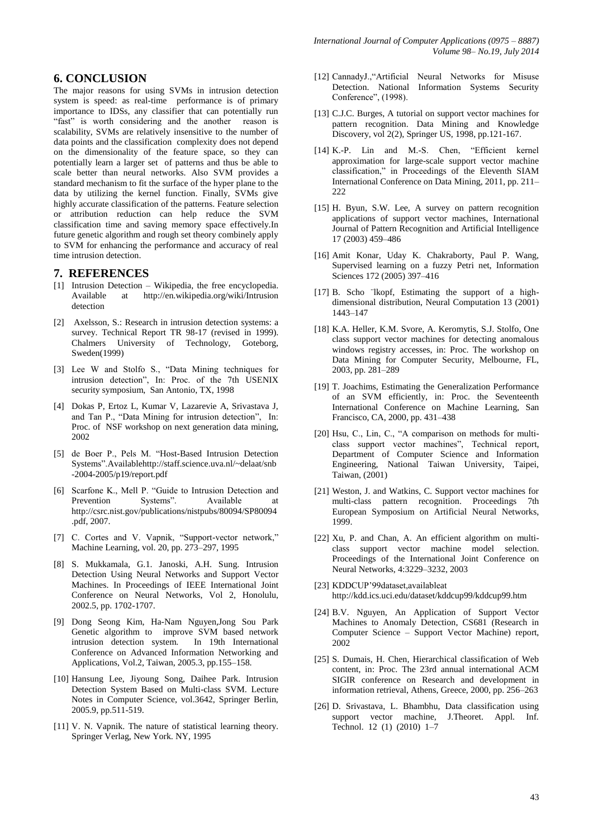# **6. CONCLUSION**

The major reasons for using SVMs in intrusion detection system is speed: as real-time performance is of primary importance to IDSs, any classifier that can potentially run "fast" is worth considering and the another reason is scalability, SVMs are relatively insensitive to the number of data points and the classification complexity does not depend on the dimensionality of the feature space, so they can potentially learn a larger set of patterns and thus be able to scale better than neural networks. Also SVM provides a standard mechanism to fit the surface of the hyper plane to the data by utilizing the kernel function. Finally, SVMs give highly accurate classification of the patterns. Feature selection or attribution reduction can help reduce the SVM classification time and saving memory space effectively.In future genetic algorithm and rough set theory combinely apply to SVM for enhancing the performance and accuracy of real time intrusion detection.

## **7. REFERENCES**

- [1] Intrusion Detection Wikipedia, the free encyclopedia. Available at http://en.wikipedia.org/wiki/Intrusion detection
- [2] Axelsson, S.: Research in intrusion detection systems: a survey. Technical Report TR 98-17 (revised in 1999). Chalmers University of Technology, Goteborg, Sweden(1999)
- [3] Lee W and Stolfo S., "Data Mining techniques for intrusion detection", In: Proc. of the 7th USENIX security symposium, San Antonio, TX, 1998
- [4] Dokas P, Ertoz L, Kumar V, Lazarevie A, Srivastava J, and Tan P., "Data Mining for intrusion detection", In: Proc. of NSF workshop on next generation data mining, 2002
- [5] de Boer P., Pels M. "Host-Based Intrusion Detection Systems".Availablehttp://staff.science.uva.nl/~delaat/snb -2004-2005/p19/report.pdf
- [6] Scarfone K., Mell P. "Guide to Intrusion Detection and Prevention Systems". Available at http://csrc.nist.gov/publications/nistpubs/80094/SP80094 .pdf, 2007.
- [7] C. Cortes and V. Vapnik, "Support-vector network," Machine Learning, vol. 20, pp. 273–297, 1995
- [8] S. Mukkamala, G.1. Janoski, A.H. Sung. Intrusion Detection Using Neural Networks and Support Vector Machines. In Proceedings of IEEE International Joint Conference on Neural Networks, Vol 2, Honolulu, 2002.5, pp. 1702-1707.
- [9] Dong Seong Kim, Ha-Nam Nguyen,Jong Sou Park Genetic algorithm to improve SVM based network intrusion detection system. In 19th International Conference on Advanced Information Networking and Applications, Vol.2, Taiwan, 2005.3, pp.155–158.
- [10] Hansung Lee, Jiyoung Song, Daihee Park. Intrusion Detection System Based on Multi-class SVM. Lecture Notes in Computer Science, vol.3642, Springer Berlin, 2005.9, pp.511-519.
- [11] V. N. Vapnik. The nature of statistical learning theory. Springer Verlag, New York. NY, 1995
- [12] CannadyJ.,"Artificial Neural Networks for Misuse Detection. National Information Systems Security Conference", (1998).
- [13] C.J.C. Burges, A tutorial on support vector machines for pattern recognition. Data Mining and Knowledge Discovery, vol 2(2), Springer US, 1998, pp.121-167.
- [14] K.-P. Lin and M.-S. Chen, "Efficient kernel approximation for large-scale support vector machine classification," in Proceedings of the Eleventh SIAM International Conference on Data Mining, 2011, pp. 211– 222
- [15] H. Byun, S.W. Lee, A survey on pattern recognition applications of support vector machines, International Journal of Pattern Recognition and Artificial Intelligence 17 (2003) 459–486
- [16] Amit Konar, Uday K. Chakraborty, Paul P. Wang, Supervised learning on a fuzzy Petri net, Information Sciences 172 (2005) 397–416
- [17] B. Scho "lkopf, Estimating the support of a highdimensional distribution, Neural Computation 13 (2001) 1443–147
- [18] K.A. Heller, K.M. Svore, A. Keromytis, S.J. Stolfo, One class support vector machines for detecting anomalous windows registry accesses, in: Proc. The workshop on Data Mining for Computer Security, Melbourne, FL, 2003, pp. 281–289
- [19] T. Joachims, Estimating the Generalization Performance of an SVM efficiently, in: Proc. the Seventeenth International Conference on Machine Learning, San Francisco, CA, 2000, pp. 431–438
- [20] Hsu, C., Lin, C., "A comparison on methods for multiclass support vector machines", Technical report, Department of Computer Science and Information Engineering, National Taiwan University, Taipei, Taiwan, (2001)
- [21] Weston, J. and Watkins, C. Support vector machines for multi-class pattern recognition. Proceedings 7th European Symposium on Artificial Neural Networks, 1999.
- [22] Xu, P. and Chan, A. An efficient algorithm on multiclass support vector machine model selection. Proceedings of the International Joint Conference on Neural Networks, 4:3229–3232, 2003
- [23] KDDCUP'99dataset,availableat http://kdd.ics.uci.edu/dataset/kddcup99/kddcup99.htm
- [24] B.V. Nguyen, An Application of Support Vector Machines to Anomaly Detection, CS681 (Research in Computer Science – Support Vector Machine) report, 2002
- [25] S. Dumais, H. Chen, Hierarchical classification of Web content, in: Proc. The 23rd annual international ACM SIGIR conference on Research and development in information retrieval, Athens, Greece, 2000, pp. 256–263
- [26] D. Srivastava, L. Bhambhu, Data classification using support vector machine, J.Theoret. Appl. Inf. Technol. 12 (1) (2010) 1–7